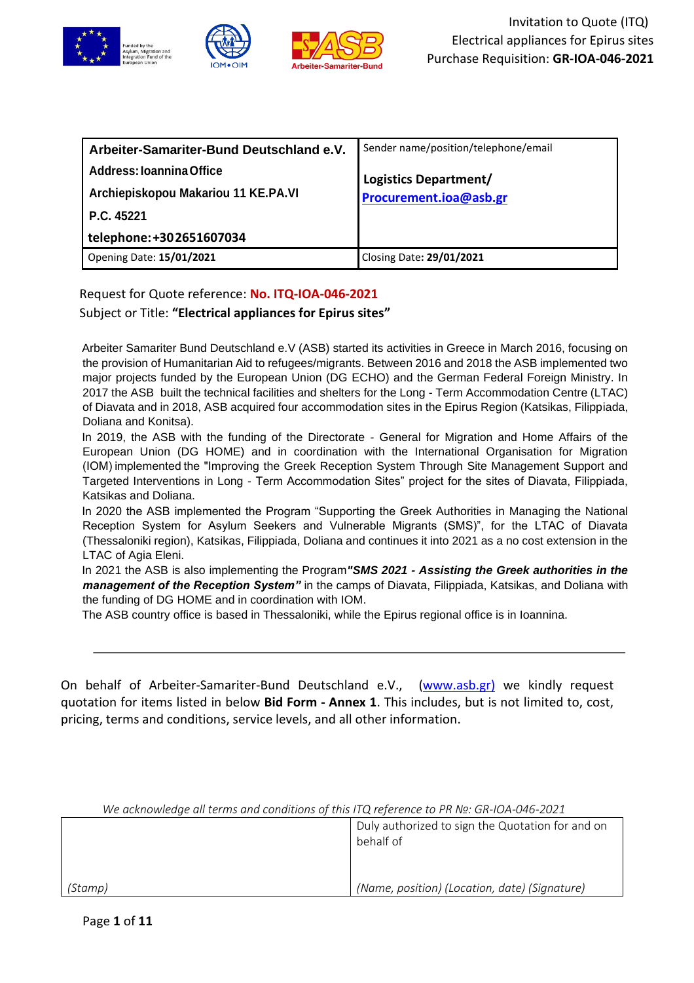

| Arbeiter-Samariter-Bund Deutschland e.V. | Sender name/position/telephone/email |
|------------------------------------------|--------------------------------------|
| Address: Ioannina Office                 | Logistics Department/                |
| Archiepiskopou Makariou 11 KE.PA.VI      | Procurement.ioa@asb.gr               |
| P.C. 45221                               |                                      |
| telephone: +302651607034                 |                                      |
| <b>Opening Date: 15/01/2021</b>          | Closing Date: 29/01/2021             |

Request for Quote reference: **No. ITQ-IOA-046-2021**

Subject or Title: **"Electrical appliances for Epirus sites"**

Arbeiter Samariter Bund Deutschland e.V (ASB) started its activities in Greece in March 2016, focusing on the provision of Humanitarian Aid to refugees/migrants. Between 2016 and 2018 the ASB implemented two major projects funded by the European Union (DG ECHO) and the German Federal Foreign Ministry. In 2017 the ASB built the technical facilities and shelters for the Long - Term Accommodation Centre (LTAC) of Diavata and in 2018, ASB acquired four accommodation sites in the Epirus Region (Katsikas, Filippiada, Doliana and Konitsa).

In 2019, the ASB with the funding of the Directorate - General for Migration and Home Affairs of the European Union (DG HOME) and in coordination with the International Organisation for Migration (IOM) implemented the "Improving the Greek Reception System Through Site Management Support and Targeted Interventions in Long - Term Accommodation Sites" project for the sites of Diavata, Filippiada, Katsikas and Doliana.

In 2020 the ASB implemented the Program "Supporting the Greek Authorities in Managing the National Reception System for Asylum Seekers and Vulnerable Migrants (SMS)", for the LTAC of Diavata (Thessaloniki region), Katsikas, Filippiada, Doliana and continues it into 2021 as a no cost extension in the LTAC of Agia Eleni.

In 2021 the ASB is also implementing the Program*"SMS 2021 - Assisting the Greek authorities in the management of the Reception System"* in the camps of Diavata, Filippiada, Katsikas, and Doliana with the funding of DG HOME and in coordination with IOM.

The ASB country office is based in Thessaloniki, while the Epirus regional office is in Ioannina.

On behalf of Arbeiter-Samariter-Bund Deutschland e.V., [\(www.asb.gr\)](http://www.asb.gr/) we kindly request quotation for items listed in below **Bid Form - Annex 1**. This includes, but is not limited to, cost, pricing, terms and conditions, service levels, and all other information.

| We acknowledge all terms and conditions of this ITQ reference to PR Nº: GR-IOA-046-2021 |                                                               |  |
|-----------------------------------------------------------------------------------------|---------------------------------------------------------------|--|
|                                                                                         | Duly authorized to sign the Quotation for and on<br>behalf of |  |
| (Stamp)                                                                                 | (Name, position) (Location, date) (Signature)                 |  |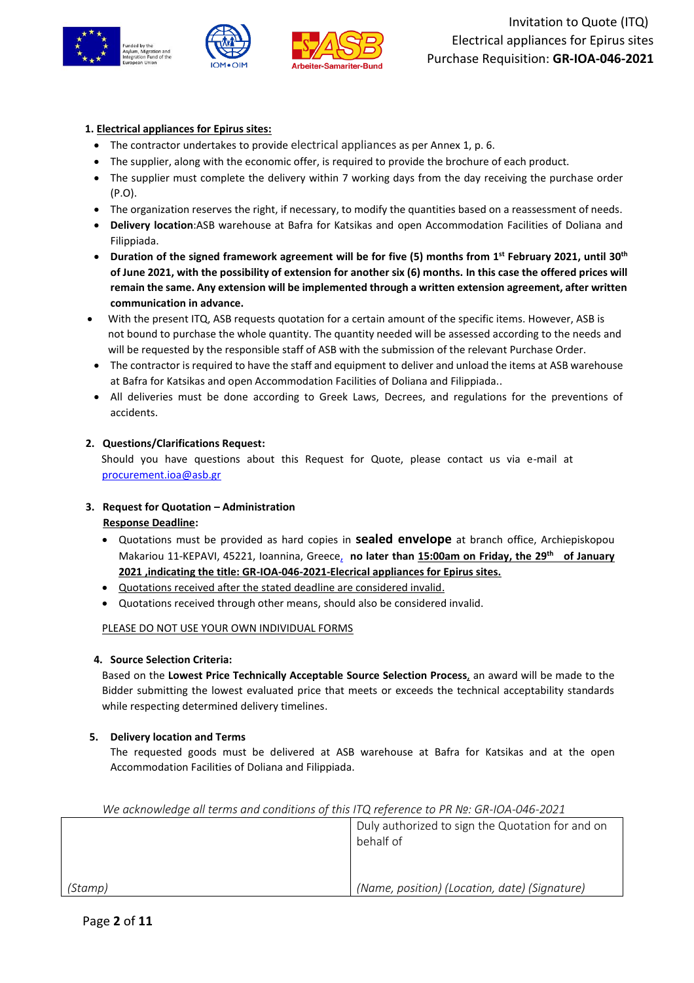



## **1. Electrical appliances for Epirus sites:**

- The contractor undertakes to provide electrical appliances as per Annex 1, p. 6.
- The supplier, along with the economic offer, is required to provide the brochure of each product.
- The supplier must complete the delivery within 7 working days from the day receiving the purchase order (P.O).
- The organization reserves the right, if necessary, to modify the quantities based on a reassessment of needs.
- **Delivery location**:ASB warehouse at Bafra for Katsikas and open Accommodation Facilities of Doliana and Filippiada.
- **Duration of the signed framework agreement will be for five (5) months from 1st February 2021, until 30th of June 2021, with the possibility of extension for another six (6) months. In this case the offered prices will remain the same. Any extension will be implemented through a written extension agreement, after written communication in advance.**
- With the present ITQ, ASB requests quotation for a certain amount of the specific items. However, ASB is not bound to purchase the whole quantity. The quantity needed will be assessed according to the needs and will be requested by the responsible staff of ASB with the submission of the relevant Purchase Order.
- The contractor is required to have the staff and equipment to deliver and unload the items at ASB warehouse at Bafra for Katsikas and open Accommodation Facilities of Doliana and Filippiada..
- All deliveries must be done according to Greek Laws, Decrees, and regulations for the preventions of accidents.

#### **2. Questions/Clarifications Request:**

Should you have questions about this Request for Quote, please contact us via e-mail at [procurement.ioa@asb.gr](mailto:procurement.ioa@asb.gr)

#### **3. Request for Quotation – Administration Response Deadline:**

- Quotations must be provided as hard copies in **sealed envelope** at branch office, Archiepiskopou Makariou 11-KEPAVI, 45221, Ioannina, Greece, **no later than 15:00am on Friday, the 29 th of January 2021 ,indicating the title: GR-IOA-046-2021-Elecrical appliances for Epirus sites.**
- Quotations received after the stated deadline are considered invalid.
- Quotations received through other means, should also be considered invalid.

## PLEASE DO NOT USE YOUR OWN INDIVIDUAL FORMS

#### **4. Source Selection Criteria:**

Based on the **Lowest Price Technically Acceptable Source Selection Process**, an award will be made to the Bidder submitting the lowest evaluated price that meets or exceeds the technical acceptability standards while respecting determined delivery timelines.

## **5. Delivery location and Terms**

The requested goods must be delivered at ASB warehouse at Bafra for Katsikas and at the open Accommodation Facilities of Doliana and Filippiada.

| We acknowledge all terms and conditions of this ITQ reference to PR Nº. GR-IOA-046-2021 |                                                               |  |
|-----------------------------------------------------------------------------------------|---------------------------------------------------------------|--|
|                                                                                         | Duly authorized to sign the Quotation for and on<br>behalf of |  |
| (Stamp)                                                                                 | (Name, position) (Location, date) (Signature)                 |  |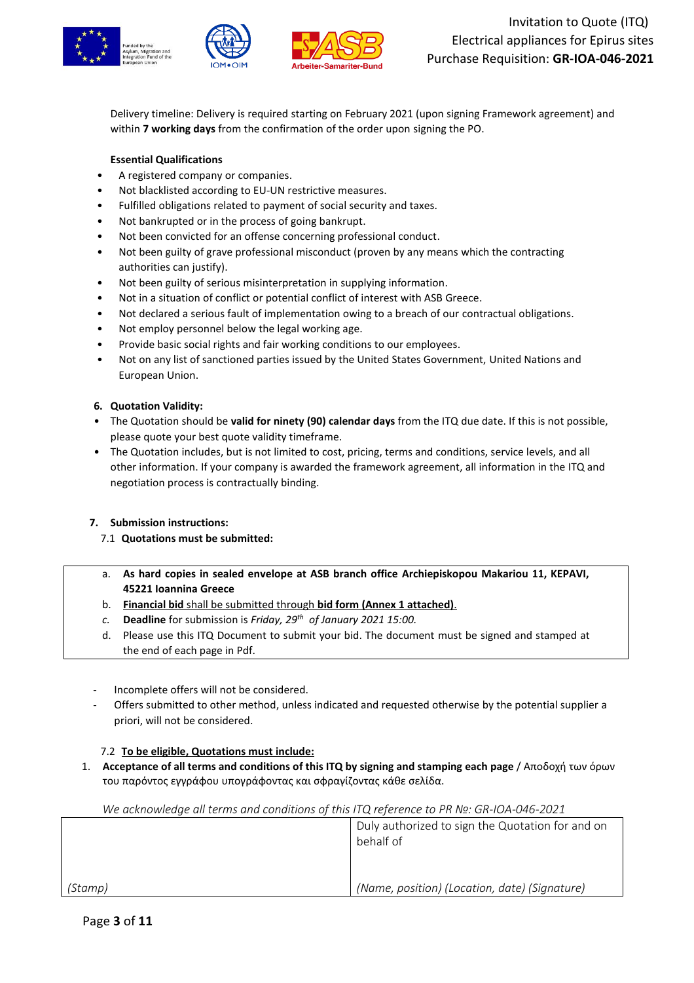

Delivery timeline: Delivery is required starting on February 2021 (upon signing Framework agreement) and within **7 working days** from the confirmation of the order upon signing the PO.

# **Essential Qualifications**

- A registered company or companies.
- Not blacklisted according to EU-UN restrictive measures.
- Fulfilled obligations related to payment of social security and taxes.
- Not bankrupted or in the process of going bankrupt.
- Not been convicted for an offense concerning professional conduct.
- Not been guilty of grave professional misconduct (proven by any means which the contracting authorities can justify).
- Not been guilty of serious misinterpretation in supplying information.
- Not in a situation of conflict or potential conflict of interest with ASB Greece.
- Not declared a serious fault of implementation owing to a breach of our contractual obligations.
- Not employ personnel below the legal working age.
- Provide basic social rights and fair working conditions to our employees.
- Not on any list of sanctioned parties issued by the United States Government, United Nations and European Union.

#### **6. Quotation Validity:**

- The Quotation should be **valid for ninety (90) calendar days** from the ITQ due date. If this is not possible, please quote your best quote validity timeframe.
- The Quotation includes, but is not limited to cost, pricing, terms and conditions, service levels, and all other information. If your company is awarded the framework agreement, all information in the ITQ and negotiation process is contractually binding.

## **7. Submission instructions:**

- 7.1 **Quotations must be submitted:**
- a. **As hard copies in sealed envelope at ASB branch office Archiepiskopou Makariou 11, KEPAVI, 45221 Ioannina Greece**
- b. **Financial bid** shall be submitted through **bid form (Annex 1 attached)**.
- *c.* **Deadline** for submission is *Friday, 29 th of January 2021 15:00.*
- d. Please use this ITQ Document to submit your bid. The document must be signed and stamped at the end of each page in Pdf.
- Incomplete offers will not be considered.
- Offers submitted to other method, unless indicated and requested otherwise by the potential supplier a priori, will not be considered.

## 7.2 **To be eligible, Quotations must include:**

1. **Acceptance of all terms and conditions of this ITQ by signing and stamping each page** / Αποδοχή των όρων του παρόντος εγγράφου υπογράφοντας και σφραγίζοντας κάθε σελίδα.

|         | Duly authorized to sign the Quotation for and on<br>behalf of |
|---------|---------------------------------------------------------------|
| (Stamp) | (Name, position) (Location, date) (Signature)                 |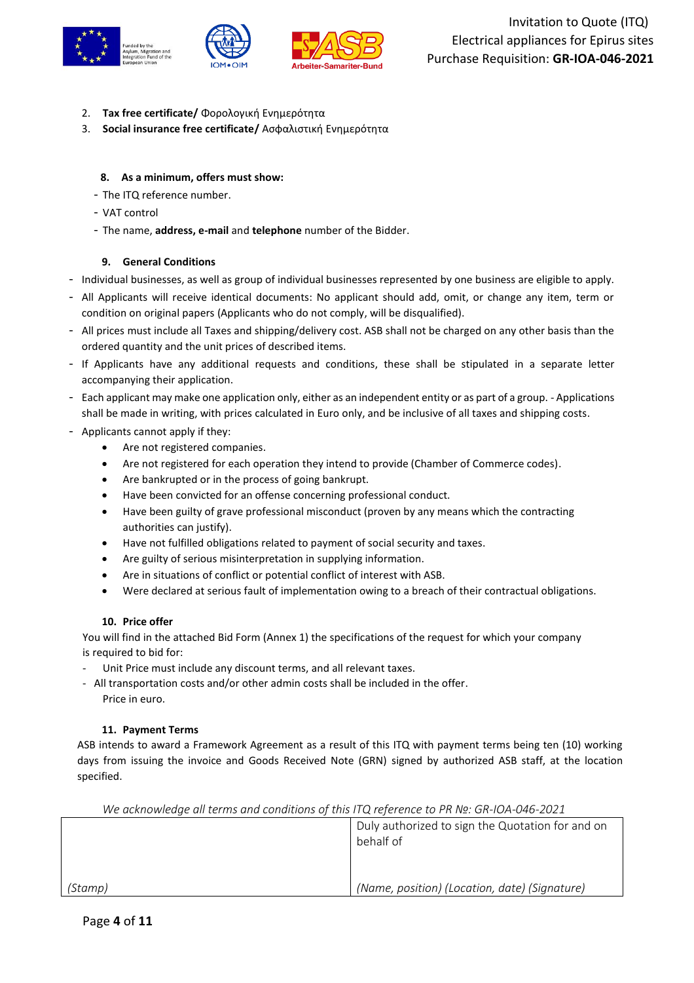

- 2. **Tax free certificate/** Φορολογική Ενημερότητα
- 3. **Social insurance free certificate/** Ασφαλιστική Ενημερότητα

#### **8. As a minimum, offers must show:**

- The ITQ reference number.
- VAT control
- The name, **address, e-mail** and **telephone** number of the Bidder.

#### **9. General Conditions**

- Individual businesses, as well as group of individual businesses represented by one business are eligible to apply.
- All Applicants will receive identical documents: No applicant should add, omit, or change any item, term or condition on original papers (Applicants who do not comply, will be disqualified).
- All prices must include all Taxes and shipping/delivery cost. ASB shall not be charged on any other basis than the ordered quantity and the unit prices of described items.
- If Applicants have any additional requests and conditions, these shall be stipulated in a separate letter accompanying their application.
- Each applicant may make one application only, either as an independent entity or as part of a group. Applications shall be made in writing, with prices calculated in Euro only, and be inclusive of all taxes and shipping costs.
- Applicants cannot apply if they:
	- Are not registered companies.
	- Are not registered for each operation they intend to provide (Chamber of Commerce codes).
	- Are bankrupted or in the process of going bankrupt.
	- Have been convicted for an offense concerning professional conduct.
	- Have been guilty of grave professional misconduct (proven by any means which the contracting authorities can justify).
	- Have not fulfilled obligations related to payment of social security and taxes.
	- Are guilty of serious misinterpretation in supplying information.
	- Are in situations of conflict or potential conflict of interest with ASB.
	- Were declared at serious fault of implementation owing to a breach of their contractual obligations.

#### **10. Price offer**

You will find in the attached Bid Form (Annex 1) the specifications of the request for which your company is required to bid for:

- Unit Price must include any discount terms, and all relevant taxes.
- All transportation costs and/or other admin costs shall be included in the offer. Price in euro.

#### **11. Payment Terms**

ASB intends to award a Framework Agreement as a result of this ITQ with payment terms being ten (10) working days from issuing the invoice and Goods Received Note (GRN) signed by authorized ASB staff, at the location specified.

| <u>VVE UCKNOWIEUUE UII TEHNS UNU CONUITIONS OF THIS FI'Q TEJEFENCE TO PR IN . GR-IOA-046-2021</u> |                                                               |
|---------------------------------------------------------------------------------------------------|---------------------------------------------------------------|
|                                                                                                   | Duly authorized to sign the Quotation for and on<br>behalf of |
| (Stamp)                                                                                           | (Name, position) (Location, date) (Signature)                 |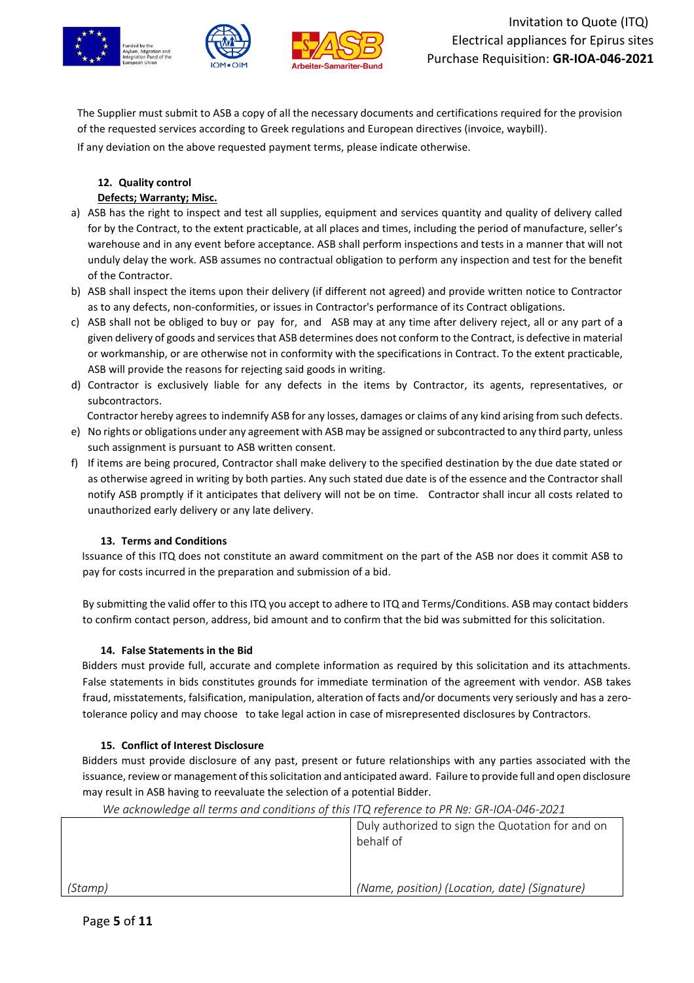





The Supplier must submit to ASB a copy of all the necessary documents and certifications required for the provision of the requested services according to Greek regulations and European directives (invoice, waybill). If any deviation on the above requested payment terms, please indicate otherwise.

# **12. Quality control Defects; Warranty; Misc.**

- a) ASB has the right to inspect and test all supplies, equipment and services quantity and quality of delivery called for by the Contract, to the extent practicable, at all places and times, including the period of manufacture, seller's warehouse and in any event before acceptance. ASB shall perform inspections and tests in a manner that will not unduly delay the work. ASB assumes no contractual obligation to perform any inspection and test for the benefit of the Contractor.
- b) ASB shall inspect the items upon their delivery (if different not agreed) and provide written notice to Contractor as to any defects, non-conformities, or issues in Contractor's performance of its Contract obligations.
- c) ASB shall not be obliged to buy or pay for, and ASB may at any time after delivery reject, all or any part of a given delivery of goods and services that ASB determines does not conform to the Contract, is defective in material or workmanship, or are otherwise not in conformity with the specifications in Contract. To the extent practicable, ASB will provide the reasons for rejecting said goods in writing.
- d) Contractor is exclusively liable for any defects in the items by Contractor, its agents, representatives, or subcontractors.

Contractor hereby agrees to indemnify ASB for any losses, damages or claims of any kind arising from such defects.

- e) No rights or obligations under any agreement with ASB may be assigned orsubcontracted to any third party, unless such assignment is pursuant to ASB written consent.
- f) If items are being procured, Contractor shall make delivery to the specified destination by the due date stated or as otherwise agreed in writing by both parties. Any such stated due date is of the essence and the Contractor shall notify ASB promptly if it anticipates that delivery will not be on time. Contractor shall incur all costs related to unauthorized early delivery or any late delivery.

# **13. Terms and Conditions**

Issuance of this ITQ does not constitute an award commitment on the part of the ASB nor does it commit ASB to pay for costs incurred in the preparation and submission of a bid.

By submitting the valid offer to this ITQ you accept to adhere to ITQ and Terms/Conditions. ASB may contact bidders to confirm contact person, address, bid amount and to confirm that the bid was submitted for this solicitation.

# **14. False Statements in the Bid**

Bidders must provide full, accurate and complete information as required by this solicitation and its attachments. False statements in bids constitutes grounds for immediate termination of the agreement with vendor. ASB takes fraud, misstatements, falsification, manipulation, alteration of facts and/or documents very seriously and has a zerotolerance policy and may choose to take legal action in case of misrepresented disclosures by Contractors.

# **15. Conflict of Interest Disclosure**

Bidders must provide disclosure of any past, present or future relationships with any parties associated with the issuance, review or management of this solicitation and anticipated award. Failure to provide full and open disclosure may result in ASB having to reevaluate the selection of a potential Bidder.

*We acknowledge all terms and conditions of this ITQ reference to PR №: GR-IOA-046-2021*

*(Stamp)* Duly authorized to sign the Quotation for and on behalf of *(Name, position) (Location, date) (Signature)*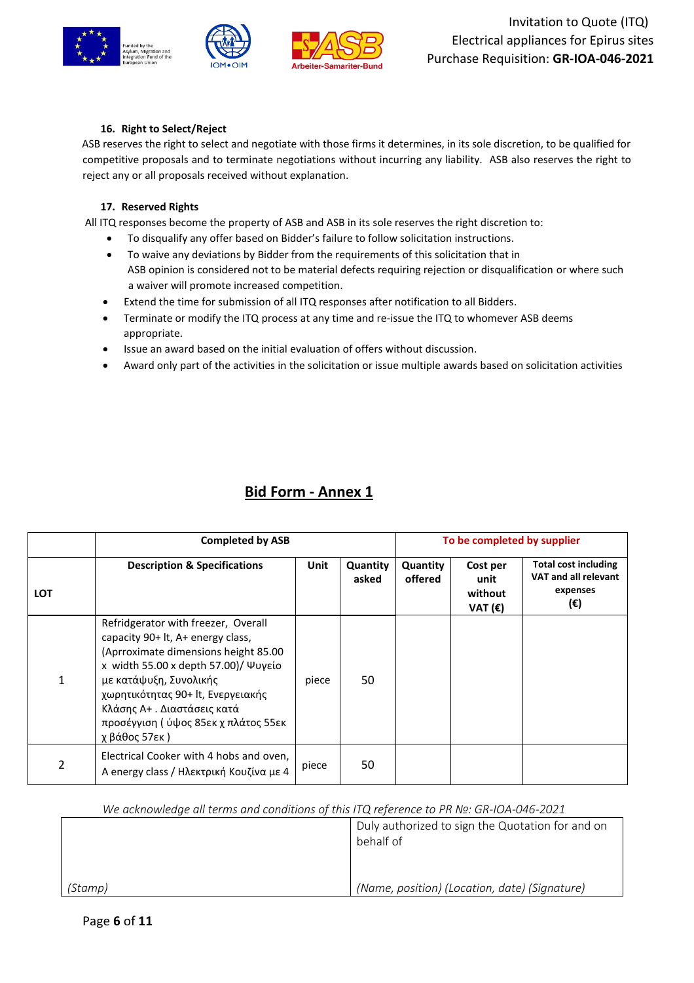

### **16. Right to Select/Reject**

ASB reserves the right to select and negotiate with those firms it determines, in its sole discretion, to be qualified for competitive proposals and to terminate negotiations without incurring any liability. ASB also reserves the right to reject any or all proposals received without explanation.

#### **17. Reserved Rights**

All ITQ responses become the property of ASB and ASB in its sole reserves the right discretion to:

- To disqualify any offer based on Bidder's failure to follow solicitation instructions.
- To waive any deviations by Bidder from the requirements of this solicitation that in ASB opinion is considered not to be material defects requiring rejection or disqualification or where such a waiver will promote increased competition.
- Extend the time for submission of all ITQ responses after notification to all Bidders.
- Terminate or modify the ITQ process at any time and re-issue the ITQ to whomever ASB deems appropriate.
- Issue an award based on the initial evaluation of offers without discussion.
- Award only part of the activities in the solicitation or issue multiple awards based on solicitation activities

# **Bid Form - Annex 1**

|     | <b>Completed by ASB</b>                                                                                                                                                                                                                                                                                         |             |                   |                     | To be completed by supplier                     |                                                                        |
|-----|-----------------------------------------------------------------------------------------------------------------------------------------------------------------------------------------------------------------------------------------------------------------------------------------------------------------|-------------|-------------------|---------------------|-------------------------------------------------|------------------------------------------------------------------------|
| LOT | <b>Description &amp; Specifications</b>                                                                                                                                                                                                                                                                         | <b>Unit</b> | Quantity<br>asked | Quantity<br>offered | Cost per<br>unit<br>without<br>VAT $(\epsilon)$ | <b>Total cost including</b><br>VAT and all relevant<br>expenses<br>(€) |
|     | Refridgerator with freezer, Overall<br>capacity 90+ lt, A+ energy class,<br>(Aprroximate dimensions height 85.00<br>x width 55.00 x depth 57.00)/ Ψυγείο<br>με κατάψυξη, Συνολικής<br>χωρητικότητας 90+ lt, Ενεργειακής<br>Κλάσης Α+. Διαστάσεις κατά<br>προσέγγιση ( ύψος 85εκ χ πλάτος 55εκ<br>χ βάθος 57εκ ) | piece       | 50                |                     |                                                 |                                                                        |
| 2   | Electrical Cooker with 4 hobs and oven,<br>A energy class / Ηλεκτρική Κουζίνα με 4                                                                                                                                                                                                                              | piece       | 50                |                     |                                                 |                                                                        |

|         | Duly authorized to sign the Quotation for and on<br>behalf of |
|---------|---------------------------------------------------------------|
| (Stamp) | (Name, position) (Location, date) (Signature)                 |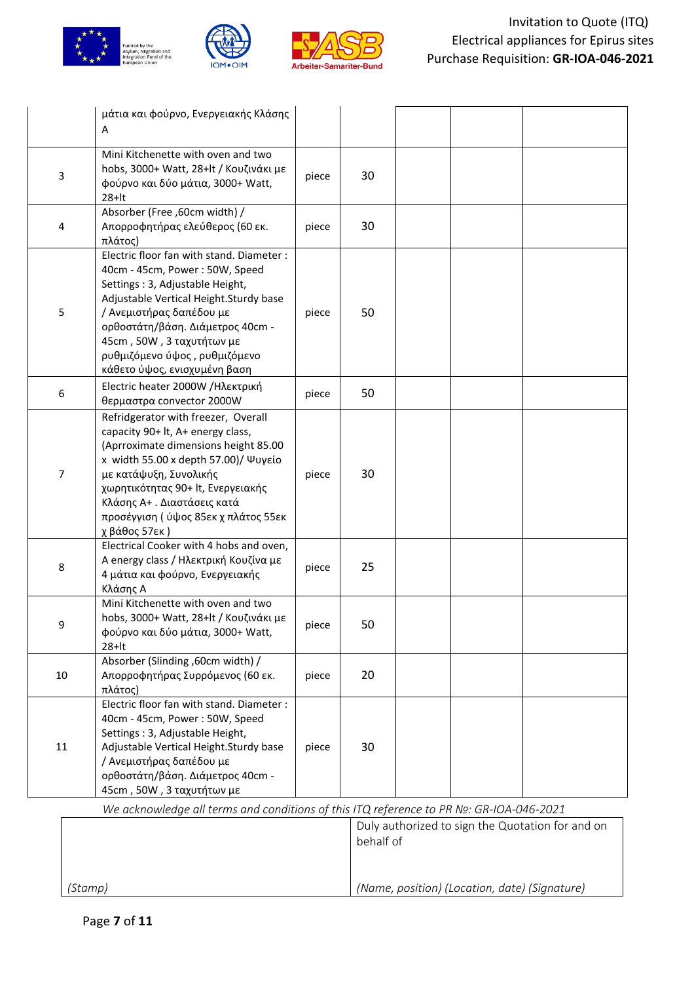





|                                                                                         | μάτια και φούρνο, Ενεργειακής Κλάσης                                                                                                                                                                                                                                                                                    |       |    |  |  |
|-----------------------------------------------------------------------------------------|-------------------------------------------------------------------------------------------------------------------------------------------------------------------------------------------------------------------------------------------------------------------------------------------------------------------------|-------|----|--|--|
|                                                                                         | Α                                                                                                                                                                                                                                                                                                                       |       |    |  |  |
| $\mathsf 3$                                                                             | Mini Kitchenette with oven and two<br>hobs, 3000+ Watt, 28+lt / Κουζινάκι με<br>φούρνο και δύο μάτια, 3000+ Watt,<br>$28+It$                                                                                                                                                                                            | piece | 30 |  |  |
| 4                                                                                       | Absorber (Free, 60cm width) /<br>Απορροφητήρας ελεύθερος (60 εκ.<br>πλάτος)                                                                                                                                                                                                                                             | piece | 30 |  |  |
| 5                                                                                       | Electric floor fan with stand. Diameter :<br>40cm - 45cm, Power: 50W, Speed<br>Settings: 3, Adjustable Height,<br>Adjustable Vertical Height. Sturdy base<br>/ Ανεμιστήρας δαπέδου με<br>ορθοστάτη/βάση. Διάμετρος 40cm -<br>45cm, 50W, 3 ταχυτήτων με<br>ρυθμιζόμενο ύψος, ρυθμιζόμενο<br>κάθετο ύψος, ενισχυμένη βαση | piece | 50 |  |  |
| 6                                                                                       | Electric heater 2000W /Ηλεκτρική<br>θερμαστρα convector 2000W                                                                                                                                                                                                                                                           | piece | 50 |  |  |
| $\overline{7}$                                                                          | Refridgerator with freezer, Overall<br>capacity 90+ lt, A+ energy class,<br>(Aprroximate dimensions height 85.00<br>x width 55.00 x depth 57.00)/ Ψυγείο<br>με κατάψυξη, Συνολικής<br>χωρητικότητας 90+ lt, Ενεργειακής<br>Κλάσης Α+. Διαστάσεις κατά<br>προσέγγιση ( ύψος 85εκ χ πλάτος 55εκ<br>χ βάθος 57εκ)          | piece | 30 |  |  |
| 8                                                                                       | Electrical Cooker with 4 hobs and oven,<br>A energy class / Ηλεκτρική Κουζίνα με<br>4 μάτια και φούρνο, Ενεργειακής<br>Κλάσης Α                                                                                                                                                                                         | piece | 25 |  |  |
| q                                                                                       | Mini Kitchenette with oven and two<br>hobs, 3000+ Watt, 28+lt / Κουζινάκι με<br>φούρνο και δύο μάτια, 3000+ Watt,<br>$28 + It$                                                                                                                                                                                          | piece | 50 |  |  |
| 10                                                                                      | Absorber (Slinding, 60cm width) /<br>Απορροφητήρας Συρρόμενος (60 εκ.<br>πλάτος)                                                                                                                                                                                                                                        | piece | 20 |  |  |
| 11                                                                                      | Electric floor fan with stand. Diameter :<br>40cm - 45cm, Power: 50W, Speed<br>Settings: 3, Adjustable Height,<br>Adjustable Vertical Height. Sturdy base<br>/ Ανεμιστήρας δαπέδου με<br>ορθοστάτη/βάση. Διάμετρος 40cm -<br>45cm, 50W, 3 ταχυτήτων με                                                                  | piece | 30 |  |  |
| We acknowledge all terms and conditions of this ITQ reference to PR Nº: GR-IOA-046-2021 |                                                                                                                                                                                                                                                                                                                         |       |    |  |  |

*(Stamp)* Duly authorized to sign the Quotation for and on behalf of *(Name, position) (Location, date) (Signature)*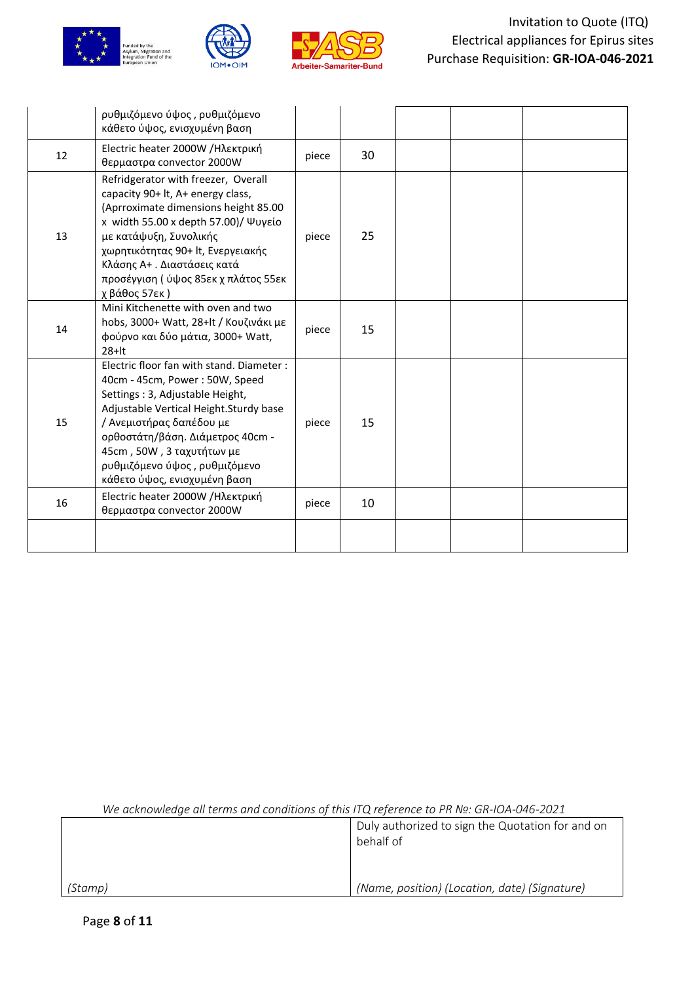





|    | ρυθμιζόμενο ύψος, ρυθμιζόμενο<br>κάθετο ύψος, ενισχυμένη βαση                                                                                                                                                                                                                                                           |       |    |  |  |
|----|-------------------------------------------------------------------------------------------------------------------------------------------------------------------------------------------------------------------------------------------------------------------------------------------------------------------------|-------|----|--|--|
| 12 | Electric heater 2000W / Ηλεκτρική<br>θερμαστρα convector 2000W                                                                                                                                                                                                                                                          | piece | 30 |  |  |
| 13 | Refridgerator with freezer, Overall<br>capacity 90+ lt, A+ energy class,<br>(Aprroximate dimensions height 85.00<br>x width 55.00 x depth 57.00)/ Ψυγείο<br>με κατάψυξη, Συνολικής<br>χωρητικότητας 90+ lt, Ενεργειακής<br>Κλάσης Α+. Διαστάσεις κατά<br>προσέγγιση ( ύψος 85εκ χ πλάτος 55εκ<br>χ βάθος 57εκ)          | piece | 25 |  |  |
| 14 | Mini Kitchenette with oven and two<br>hobs, 3000+ Watt, 28+lt / Κουζινάκι με<br>φούρνο και δύο μάτια, 3000+ Watt,<br>$28 + It$                                                                                                                                                                                          | piece | 15 |  |  |
| 15 | Electric floor fan with stand. Diameter :<br>40cm - 45cm, Power: 50W, Speed<br>Settings: 3, Adjustable Height,<br>Adjustable Vertical Height. Sturdy base<br>/ Ανεμιστήρας δαπέδου με<br>ορθοστάτη/βάση. Διάμετρος 40cm -<br>45cm, 50W, 3 ταχυτήτων με<br>ρυθμιζόμενο ύψος, ρυθμιζόμενο<br>κάθετο ύψος, ενισχυμένη βαση | piece | 15 |  |  |
| 16 | Electric heater 2000W / Ηλεκτρική<br>θερμαστρα convector 2000W                                                                                                                                                                                                                                                          | piece | 10 |  |  |
|    |                                                                                                                                                                                                                                                                                                                         |       |    |  |  |

|         | Duly authorized to sign the Quotation for and on<br>behalf of |
|---------|---------------------------------------------------------------|
| (Stamp) | (Name, position) (Location, date) (Signature)                 |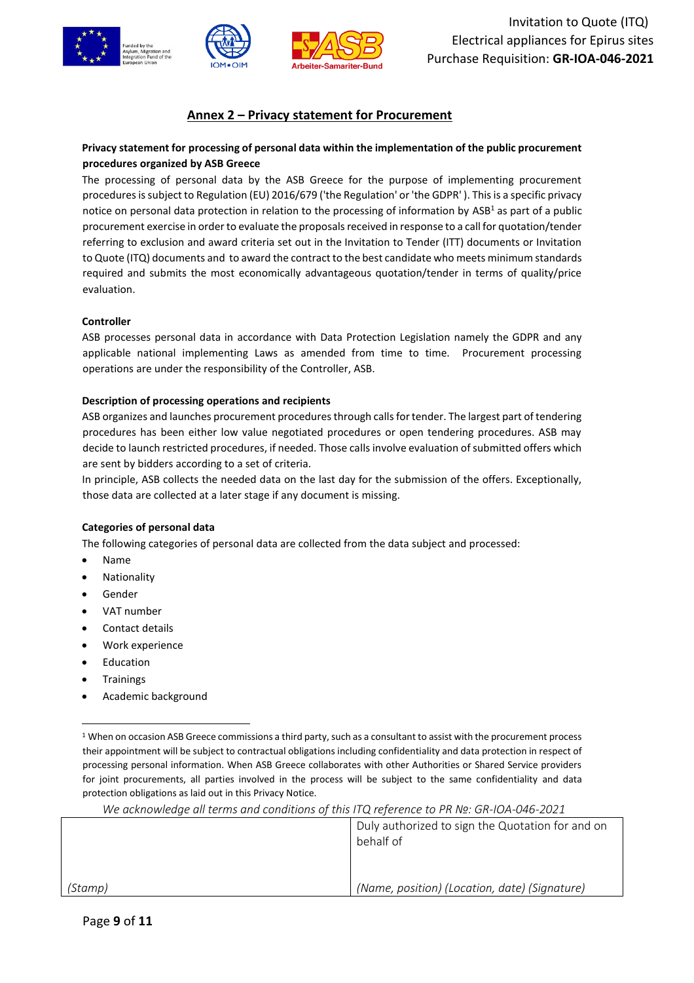

# **Annex 2 – Privacy statement for Procurement**

# **Privacy statement for processing of personal data within the implementation of the public procurement procedures organized by ASB Greece**

The processing of personal data by the ASB Greece for the purpose of implementing procurement procedures is subject to Regulation (EU) 2016/679 ('the Regulation' or 'the GDPR' ). This is a specific privacy notice on personal data protection in relation to the processing of information by  $ASB<sup>1</sup>$  as part of a public procurement exercise in order to evaluate the proposals received in response to a call for quotation/tender referring to exclusion and award criteria set out in the Invitation to Tender (ITT) documents or Invitation to Quote (ITQ) documents and to award the contract to the best candidate who meets minimum standards required and submits the most economically advantageous quotation/tender in terms of quality/price evaluation.

#### **Controller**

ASB processes personal data in accordance with Data Protection Legislation namely the GDPR and any applicable national implementing Laws as amended from time to time. Procurement processing operations are under the responsibility of the Controller, ASB.

#### **Description of processing operations and recipients**

ASB organizes and launches procurement procedures through calls for tender. The largest part of tendering procedures has been either low value negotiated procedures or open tendering procedures. ASB may decide to launch restricted procedures, if needed. Those calls involve evaluation of submitted offers which are sent by bidders according to a set of criteria.

In principle, ASB collects the needed data on the last day for the submission of the offers. Exceptionally, those data are collected at a later stage if any document is missing.

#### **Categories of personal data**

The following categories of personal data are collected from the data subject and processed:

- Name
- **Nationality**
- Gender
- VAT number
- Contact details
- Work experience
- **Education**
- **Trainings**
- Academic background

 $1$  When on occasion ASB Greece commissions a third party, such as a consultant to assist with the procurement process their appointment will be subject to contractual obligations including confidentiality and data protection in respect of processing personal information. When ASB Greece collaborates with other Authorities or Shared Service providers for joint procurements, all parties involved in the process will be subject to the same confidentiality and data protection obligations as laid out in this Privacy Notice.

|         | Duly authorized to sign the Quotation for and on<br>behalf of |
|---------|---------------------------------------------------------------|
| (Stamp) | (Name, position) (Location, date) (Signature)                 |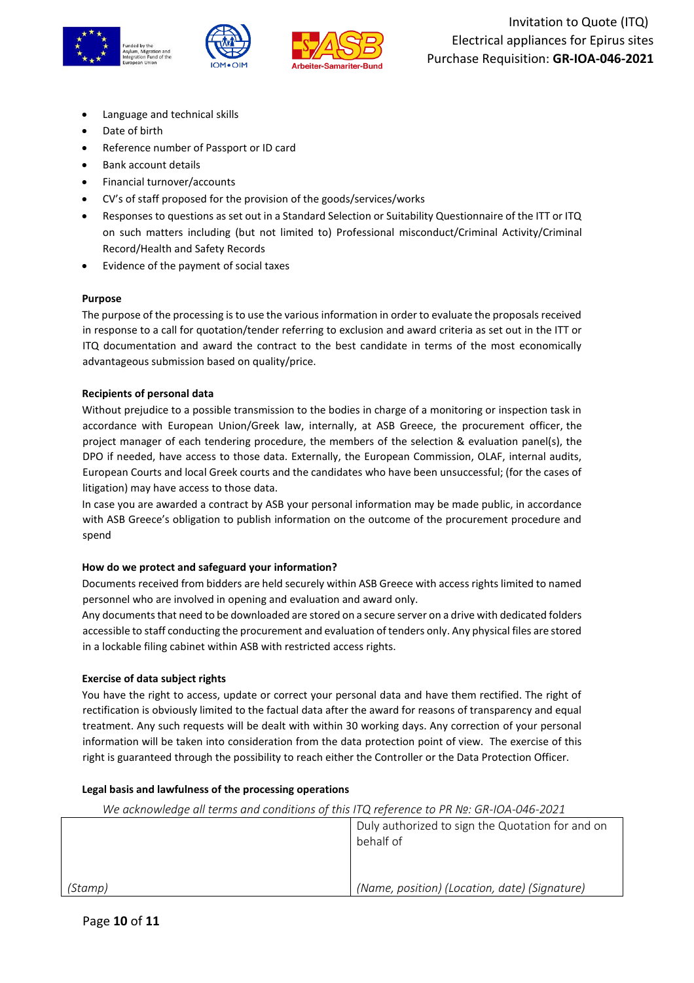

- Language and technical skills
- Date of birth
- Reference number of Passport or ID card
- Bank account details
- Financial turnover/accounts
- CV's of staff proposed for the provision of the goods/services/works
- Responses to questions as set out in a Standard Selection or Suitability Questionnaire of the ITT or ITQ on such matters including (but not limited to) Professional misconduct/Criminal Activity/Criminal Record/Health and Safety Records
- Evidence of the payment of social taxes

#### **Purpose**

The purpose of the processing is to use the various information in order to evaluate the proposals received in response to a call for quotation/tender referring to exclusion and award criteria as set out in the ITT or ITQ documentation and award the contract to the best candidate in terms of the most economically advantageous submission based on quality/price.

#### **Recipients of personal data**

Without prejudice to a possible transmission to the bodies in charge of a monitoring or inspection task in accordance with European Union/Greek law, internally, at ASB Greece, the procurement officer, the project manager of each tendering procedure, the members of the selection & evaluation panel(s), the DPO if needed, have access to those data. Externally, the European Commission, OLAF, internal audits, European Courts and local Greek courts and the candidates who have been unsuccessful; (for the cases of litigation) may have access to those data.

In case you are awarded a contract by ASB your personal information may be made public, in accordance with ASB Greece's obligation to publish information on the outcome of the procurement procedure and spend

#### **How do we protect and safeguard your information?**

Documents received from bidders are held securely within ASB Greece with access rights limited to named personnel who are involved in opening and evaluation and award only.

Any documents that need to be downloaded are stored on a secure server on a drive with dedicated folders accessible to staff conducting the procurement and evaluation of tenders only. Any physical files are stored in a lockable filing cabinet within ASB with restricted access rights.

#### **Exercise of data subject rights**

You have the right to access, update or correct your personal data and have them rectified. The right of rectification is obviously limited to the factual data after the award for reasons of transparency and equal treatment. Any such requests will be dealt with within 30 working days. Any correction of your personal information will be taken into consideration from the data protection point of view. The exercise of this right is guaranteed through the possibility to reach either the Controller or the Data Protection Officer.

#### **Legal basis and lawfulness of the processing operations**

|         | Duly authorized to sign the Quotation for and on<br>behalf of |  |  |
|---------|---------------------------------------------------------------|--|--|
|         |                                                               |  |  |
| (Stamp) | (Name, position) (Location, date) (Signature)                 |  |  |